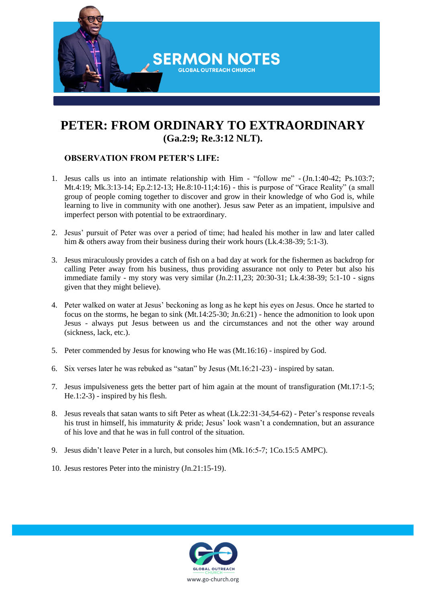

## **PETER: FROM ORDINARY TO EXTRAORDINARY (Ga.2:9; Re.3:12 NLT).**

## **OBSERVATION FROM PETER'S LIFE:**

- 1. Jesus calls us into an intimate relationship with Him "follow me" (Jn.1:40-42; Ps.103:7; Mt.4:19; Mk.3:13-14; Ep.2:12-13; He.8:10-11;4:16) - this is purpose of "Grace Reality" (a small group of people coming together to discover and grow in their knowledge of who God is, while learning to live in community with one another). Jesus saw Peter as an impatient, impulsive and imperfect person with potential to be extraordinary.
- 2. Jesus' pursuit of Peter was over a period of time; had healed his mother in law and later called him & others away from their business during their work hours (Lk.4:38-39; 5:1-3).
- 3. Jesus miraculously provides a catch of fish on a bad day at work for the fishermen as backdrop for calling Peter away from his business, thus providing assurance not only to Peter but also his immediate family - my story was very similar (Jn.2:11,23; 20:30-31; Lk.4:38-39; 5:1-10 - signs given that they might believe).
- 4. Peter walked on water at Jesus' beckoning as long as he kept his eyes on Jesus. Once he started to focus on the storms, he began to sink (Mt.14:25-30; Jn.6:21) - hence the admonition to look upon Jesus - always put Jesus between us and the circumstances and not the other way around (sickness, lack, etc.).
- 5. Peter commended by Jesus for knowing who He was (Mt.16:16) inspired by God.
- 6. Six verses later he was rebuked as "satan" by Jesus (Mt.16:21-23) inspired by satan.
- 7. Jesus impulsiveness gets the better part of him again at the mount of transfiguration (Mt.17:1-5; He.1:2-3) - inspired by his flesh.
- 8. Jesus reveals that satan wants to sift Peter as wheat (Lk.22:31-34,54-62) Peter's response reveals his trust in himself, his immaturity & pride; Jesus' look wasn't a condemnation, but an assurance of his love and that he was in full control of the situation.
- 9. Jesus didn't leave Peter in a lurch, but consoles him (Mk.16:5-7; 1Co.15:5 AMPC).
- 10. Jesus restores Peter into the ministry (Jn.21:15-19).